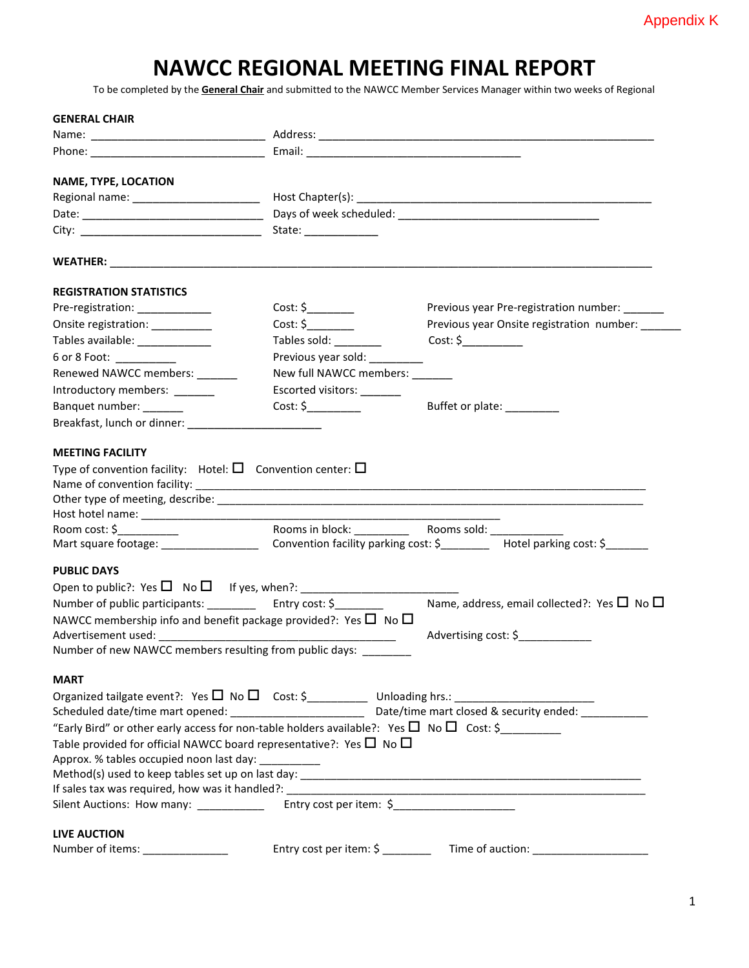## **NAWCC REGIONAL MEETING FINAL REPORT**

To be completed by the **General Chair** and submitted to the NAWCC Member Services Manager within two weeks of Regional

| <b>GENERAL CHAIR</b>                                                                               |                                |                                                                         |
|----------------------------------------------------------------------------------------------------|--------------------------------|-------------------------------------------------------------------------|
|                                                                                                    |                                |                                                                         |
|                                                                                                    |                                |                                                                         |
| NAME, TYPE, LOCATION                                                                               |                                |                                                                         |
|                                                                                                    |                                |                                                                         |
|                                                                                                    |                                |                                                                         |
|                                                                                                    |                                |                                                                         |
|                                                                                                    |                                |                                                                         |
| <b>REGISTRATION STATISTICS</b>                                                                     |                                |                                                                         |
| Pre-registration: _____________                                                                    |                                | Previous year Pre-registration number: ______                           |
| Onsite registration: __________                                                                    |                                | Previous year Onsite registration number:                               |
| Tables available: ______________                                                                   | Tables sold: _________         | Cost: \$                                                                |
| 6 or 8 Foot: __________                                                                            | Previous year sold:            |                                                                         |
| Renewed NAWCC members: ______                                                                      | New full NAWCC members: ______ |                                                                         |
| Introductory members: _______                                                                      | Escorted visitors:             |                                                                         |
| Banquet number: _______                                                                            |                                | Buffet or plate: __________                                             |
|                                                                                                    |                                |                                                                         |
| <b>MEETING FACILITY</b>                                                                            |                                |                                                                         |
| Type of convention facility: Hotel: $\square$ Convention center: $\square$                         |                                |                                                                         |
|                                                                                                    |                                |                                                                         |
|                                                                                                    |                                |                                                                         |
|                                                                                                    |                                |                                                                         |
|                                                                                                    |                                |                                                                         |
| <b>PUBLIC DAYS</b>                                                                                 |                                |                                                                         |
|                                                                                                    |                                |                                                                         |
| Number of public participants: _____________ Entry cost: \$_________                               |                                | Name, address, email collected?: Yes $\square$ No $\square$             |
| NAWCC membership info and benefit package provided?: Yes $\Box$ No $\Box$                          |                                |                                                                         |
|                                                                                                    |                                | Advertising cost: \$                                                    |
| Number of new NAWCC members resulting from public days: ________                                   |                                |                                                                         |
| <b>MART</b>                                                                                        |                                |                                                                         |
|                                                                                                    |                                |                                                                         |
|                                                                                                    |                                |                                                                         |
| "Early Bird" or other early access for non-table holders available?: Yes $\Box$ No $\Box$ Cost: \$ |                                |                                                                         |
| Table provided for official NAWCC board representative?: Yes $\Box$ No $\Box$                      |                                |                                                                         |
| Approx. % tables occupied noon last day: ___________                                               |                                |                                                                         |
|                                                                                                    |                                |                                                                         |
|                                                                                                    |                                |                                                                         |
| Silent Auctions: How many: _______________ Entry cost per item: \$_______________                  |                                |                                                                         |
| <b>LIVE AUCTION</b>                                                                                |                                |                                                                         |
| Number of items: ________________                                                                  |                                | Entry cost per item: \$ _________ Time of auction: ____________________ |